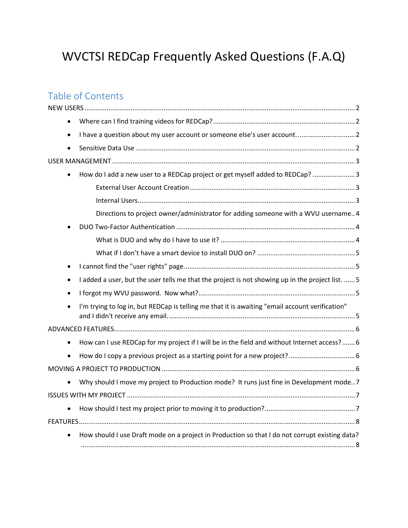# WVCTSI REDCap Frequently Asked Questions (F.A.Q)

## Table of Contents

| $\bullet$ | How do I add a new user to a REDCap project or get myself added to REDCap? 3                     |
|-----------|--------------------------------------------------------------------------------------------------|
|           |                                                                                                  |
|           |                                                                                                  |
|           | Directions to project owner/administrator for adding someone with a WVU username 4               |
|           |                                                                                                  |
|           |                                                                                                  |
|           |                                                                                                  |
|           |                                                                                                  |
|           | I added a user, but the user tells me that the project is not showing up in the project list.  5 |
|           |                                                                                                  |
|           | I'm trying to log in, but REDCap is telling me that it is awaiting "email account verification"  |
|           |                                                                                                  |
| $\bullet$ | How can I use REDCap for my project if I will be in the field and without Internet access? 6     |
|           |                                                                                                  |
|           |                                                                                                  |
| $\bullet$ | Why should I move my project to Production mode? It runs just fine in Development mode7          |
|           |                                                                                                  |
|           |                                                                                                  |
|           |                                                                                                  |
|           | How should I use Draft mode on a project in Production so that I do not corrupt existing data?   |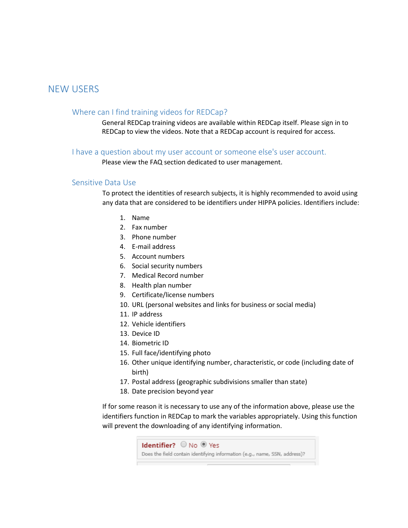## <span id="page-1-1"></span><span id="page-1-0"></span>NEW USERS

#### Where can I find training videos for REDCap?

General REDCap training videos are available within REDCap itself. Please sign in to REDCap to view the videos. Note that a REDCap account is required for access.

#### <span id="page-1-2"></span>I have a question about my user account or someone else's user account.

Please view the FAQ section dedicated to user management.

#### <span id="page-1-3"></span>Sensitive Data Use

To protect the identities of research subjects, it is highly recommended to avoid using any data that are considered to be identifiers under HIPPA policies. Identifiers include:

- 1. Name
- 2. Fax number
- 3. Phone number
- 4. E-mail address
- 5. Account numbers
- 6. Social security numbers
- 7. Medical Record number
- 8. Health plan number
- 9. Certificate/license numbers
- 10. URL (personal websites and links for business or social media)
- 11. IP address
- 12. Vehicle identifiers
- 13. Device ID
- 14. Biometric ID
- 15. Full face/identifying photo
- 16. Other unique identifying number, characteristic, or code (including date of birth)
- 17. Postal address (geographic subdivisions smaller than state)
- 18. Date precision beyond year

If for some reason it is necessary to use any of the information above, please use the identifiers function in REDCap to mark the variables appropriately. Using this function will prevent the downloading of any identifying information.

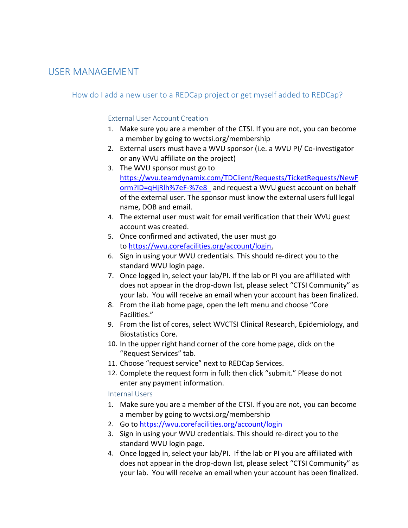## <span id="page-2-1"></span><span id="page-2-0"></span>USER MANAGEMENT

## <span id="page-2-2"></span>How do I add a new user to a REDCap project or get myself added to REDCap?

### External User Account Creation

- 1. Make sure you are a member of the CTSI. If you are not, you can become a member by going to wvctsi.org/membership
- 2. External users must have a WVU sponsor (i.e. a WVU PI/ Co-investigator or any WVU affiliate on the project)
- 3. The WVU sponsor must go to [https://wvu.teamdynamix.com/TDClient/Requests/TicketRequests/NewF](https://wvu.teamdynamix.com/TDClient/Requests/TicketRequests/NewForm?ID=qHjRlh%7eF-%7e8_) [orm?ID=qHjRlh%7eF-%7e8\\_](https://wvu.teamdynamix.com/TDClient/Requests/TicketRequests/NewForm?ID=qHjRlh%7eF-%7e8_) and request a WVU guest account on behalf of the external user. The sponsor must know the external users full legal name, DOB and email.
- 4. The external user must wait for email verification that their WVU guest account was created.
- 5. Once confirmed and activated, the user must go to [https://wvu.corefacilities.org/account/login.](https://wvu.corefacilities.org/account/login)
- 6. Sign in using your WVU credentials. This should re-direct you to the standard WVU login page.
- 7. Once logged in, select your lab/PI. If the lab or PI you are affiliated with does not appear in the drop-down list, please select "CTSI Community" as your lab. You will receive an email when your account has been finalized.
- 8. From the iLab home page, open the left menu and choose "Core Facilities."
- 9. From the list of cores, select WVCTSI Clinical Research, Epidemiology, and Biostatistics Core.
- 10. In the upper right hand corner of the core home page, click on the "Request Services" tab.
- 11. Choose "request service" next to REDCap Services.
- 12. Complete the request form in full; then click "submit." Please do not enter any payment information.

#### <span id="page-2-3"></span>Internal Users

- 1. Make sure you are a member of the CTSI. If you are not, you can become a member by going to wvctsi.org/membership
- 2. Go to <https://wvu.corefacilities.org/account/login>
- 3. Sign in using your WVU credentials. This should re-direct you to the standard WVU login page.
- 4. Once logged in, select your lab/PI. If the lab or PI you are affiliated with does not appear in the drop-down list, please select "CTSI Community" as your lab. You will receive an email when your account has been finalized.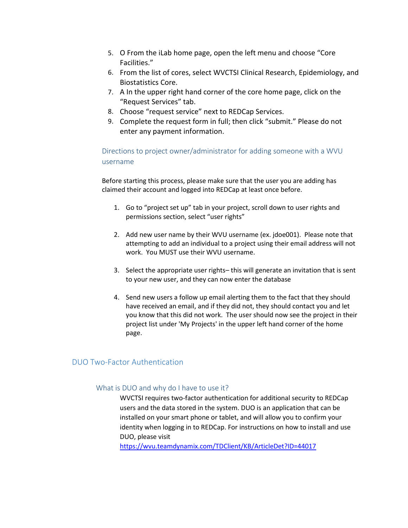- 5. O From the iLab home page, open the left menu and choose "Core Facilities."
- 6. From the list of cores, select WVCTSI Clinical Research, Epidemiology, and Biostatistics Core.
- 7. A In the upper right hand corner of the core home page, click on the "Request Services" tab.
- 8. Choose "request service" next to REDCap Services.
- 9. Complete the request form in full; then click "submit." Please do not enter any payment information.

<span id="page-3-0"></span>Directions to project owner/administrator for adding someone with a WVU username

Before starting this process, please make sure that the user you are adding has claimed their account and logged into REDCap at least once before.

- 1. Go to "project set up" tab in your project, scroll down to user rights and permissions section, select "user rights"
- 2. Add new user name by their WVU username (ex. jdoe001). Please note that attempting to add an individual to a project using their email address will not work. You MUST use their WVU username.
- 3. Select the appropriate user rights– this will generate an invitation that is sent to your new user, and they can now enter the database
- 4. Send new users a follow up email alerting them to the fact that they should have received an email, and if they did not, they should contact you and let you know that this did not work. The user should now see the project in their project list under 'My Projects' in the upper left hand corner of the home page.

## <span id="page-3-2"></span><span id="page-3-1"></span>DUO Two-Factor Authentication

#### What is DUO and why do I have to use it?

WVCTSI requires two-factor authentication for additional security to REDCap users and the data stored in the system. DUO is an application that can be installed on your smart phone or tablet, and will allow you to confirm your identity when logging in to REDCap. For instructions on how to install and use DUO, please visit

<https://wvu.teamdynamix.com/TDClient/KB/ArticleDet?ID=44017>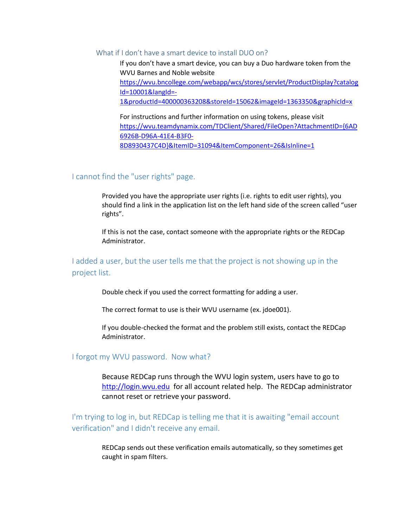#### <span id="page-4-0"></span>What if I don't have a smart device to install DUO on?

If you don't have a smart device, you can buy a Duo hardware token from the WVU Barnes and Noble website [https://wvu.bncollege.com/webapp/wcs/stores/servlet/ProductDisplay?catalog](https://wvu.bncollege.com/webapp/wcs/stores/servlet/ProductDisplay?catalogId=10001&langId=-1&productId=400000363208&storeId=15062&imageId=1363350&graphicId=x) [Id=10001&langId=-](https://wvu.bncollege.com/webapp/wcs/stores/servlet/ProductDisplay?catalogId=10001&langId=-1&productId=400000363208&storeId=15062&imageId=1363350&graphicId=x) [1&productId=400000363208&storeId=15062&imageId=1363350&graphicId=x](https://wvu.bncollege.com/webapp/wcs/stores/servlet/ProductDisplay?catalogId=10001&langId=-1&productId=400000363208&storeId=15062&imageId=1363350&graphicId=x)

For instructions and further information on using tokens, please visit [https://wvu.teamdynamix.com/TDClient/Shared/FileOpen?AttachmentID={6AD](https://wvu.teamdynamix.com/TDClient/Shared/FileOpen?AttachmentID=%7b6AD6926B-D96A-41E4-B3F0-8D8930437C4D%7d&ItemID=31094&ItemComponent=26&IsInline=1) [6926B-D96A-41E4-B3F0-](https://wvu.teamdynamix.com/TDClient/Shared/FileOpen?AttachmentID=%7b6AD6926B-D96A-41E4-B3F0-8D8930437C4D%7d&ItemID=31094&ItemComponent=26&IsInline=1) [8D8930437C4D}&ItemID=31094&ItemComponent=26&IsInline=1](https://wvu.teamdynamix.com/TDClient/Shared/FileOpen?AttachmentID=%7b6AD6926B-D96A-41E4-B3F0-8D8930437C4D%7d&ItemID=31094&ItemComponent=26&IsInline=1)

#### <span id="page-4-1"></span>I cannot find the "user rights" page.

Provided you have the appropriate user rights (i.e. rights to edit user rights), you should find a link in the application list on the left hand side of the screen called "user rights".

If this is not the case, contact someone with the appropriate rights or the REDCap Administrator.

<span id="page-4-2"></span>I added a user, but the user tells me that the project is not showing up in the project list.

Double check if you used the correct formatting for adding a user.

The correct format to use is their WVU username (ex. jdoe001).

If you double-checked the format and the problem still exists, contact the REDCap Administrator.

#### <span id="page-4-3"></span>I forgot my WVU password. Now what?

Because REDCap runs through the WVU login system, users have to go to [http://login.wvu.edu](http://login.wvu.edu/) for all account related help. The REDCap administrator cannot reset or retrieve your password.

<span id="page-4-4"></span>I'm trying to log in, but REDCap is telling me that it is awaiting "email account verification" and I didn't receive any email.

> REDCap sends out these verification emails automatically, so they sometimes get caught in spam filters.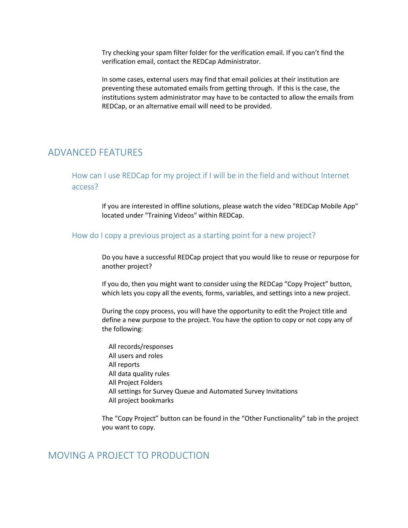Try checking your spam filter folder for the verification email. If you can't find the verification email, contact the REDCap Administrator.

In some cases, external users may find that email policies at their institution are preventing these automated emails from getting through. If this is the case, the institutions system administrator may have to be contacted to allow the emails from REDCap, or an alternative email will need to be provided.

## <span id="page-5-1"></span><span id="page-5-0"></span>ADVANCED FEATURES

How can I use REDCap for my project if I will be in the field and without Internet access?

> If you are interested in offline solutions, please watch the video "REDCap Mobile App" located under "Training Videos" within REDCap.

#### <span id="page-5-2"></span>How do I copy a previous project as a starting point for a new project?

Do you have a successful REDCap project that you would like to reuse or repurpose for another project?

If you do, then you might want to consider using the REDCap "Copy Project" button, which lets you copy all the events, forms, variables, and settings into a new project.

During the copy process, you will have the opportunity to edit the Project title and define a new purpose to the project. You have the option to copy or not copy any of the following:

 All records/responses All users and roles All reports All data quality rules All Project Folders All settings for Survey Queue and Automated Survey Invitations All project bookmarks

The "Copy Project" button can be found in the "Other Functionality" tab in the project you want to copy.

## <span id="page-5-3"></span>MOVING A PROJECT TO PRODUCTION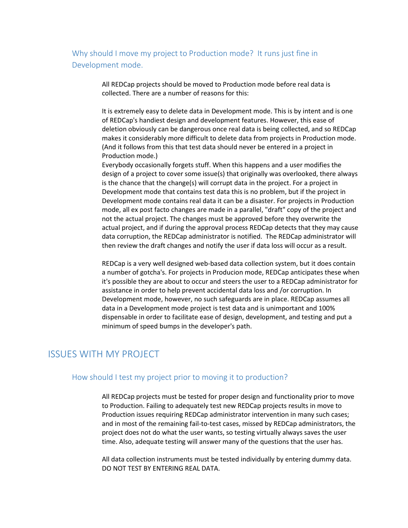<span id="page-6-0"></span>Why should I move my project to Production mode? It runs just fine in Development mode.

> All REDCap projects should be moved to Production mode before real data is collected. There are a number of reasons for this:

It is extremely easy to delete data in Development mode. This is by intent and is one of REDCap's handiest design and development features. However, this ease of deletion obviously can be dangerous once real data is being collected, and so REDCap makes it considerably more difficult to delete data from projects in Production mode. (And it follows from this that test data should never be entered in a project in Production mode.)

Everybody occasionally forgets stuff. When this happens and a user modifies the design of a project to cover some issue(s) that originally was overlooked, there always is the chance that the change(s) will corrupt data in the project. For a project in Development mode that contains test data this is no problem, but if the project in Development mode contains real data it can be a disaster. For projects in Production mode, all ex post facto changes are made in a parallel, "draft" copy of the project and not the actual project. The changes must be approved before they overwrite the actual project, and if during the approval process REDCap detects that they may cause data corruption, the REDCap administrator is notified. The REDCap administrator will then review the draft changes and notify the user if data loss will occur as a result.

REDCap is a very well designed web-based data collection system, but it does contain a number of gotcha's. For projects in Producion mode, REDCap anticipates these when it's possible they are about to occur and steers the user to a REDCap administrator for assistance in order to help prevent accidental data loss and /or corruption. In Development mode, however, no such safeguards are in place. REDCap assumes all data in a Development mode project is test data and is unimportant and 100% dispensable in order to facilitate ease of design, development, and testing and put a minimum of speed bumps in the developer's path.

## <span id="page-6-2"></span><span id="page-6-1"></span>ISSUES WITH MY PROJECT

#### How should I test my project prior to moving it to production?

All REDCap projects must be tested for proper design and functionality prior to move to Production. Failing to adequately test new REDCap projects results in move to Production issues requiring REDCap administrator intervention in many such cases; and in most of the remaining fail-to-test cases, missed by REDCap administrators, the project does not do what the user wants, so testing virtually always saves the user time. Also, adequate testing will answer many of the questions that the user has.

All data collection instruments must be tested individually by entering dummy data. DO NOT TEST BY ENTERING REAL DATA.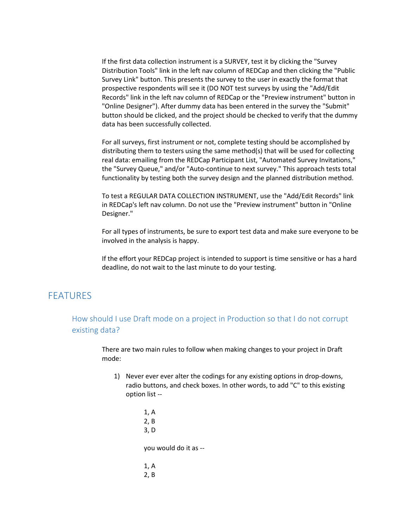If the first data collection instrument is a SURVEY, test it by clicking the "Survey Distribution Tools" link in the left nav column of REDCap and then clicking the "Public Survey Link" button. This presents the survey to the user in exactly the format that prospective respondents will see it (DO NOT test surveys by using the "Add/Edit Records" link in the left nav column of REDCap or the "Preview instrument" button in "Online Designer"). After dummy data has been entered in the survey the "Submit" button should be clicked, and the project should be checked to verify that the dummy data has been successfully collected.

For all surveys, first instrument or not, complete testing should be accomplished by distributing them to testers using the same method(s) that will be used for collecting real data: emailing from the REDCap Participant List, "Automated Survey Invitations," the "Survey Queue," and/or "Auto-continue to next survey." This approach tests total functionality by testing both the survey design and the planned distribution method.

To test a REGULAR DATA COLLECTION INSTRUMENT, use the "Add/Edit Records" link in REDCap's left nav column. Do not use the "Preview instrument" button in "Online Designer."

For all types of instruments, be sure to export test data and make sure everyone to be involved in the analysis is happy.

If the effort your REDCap project is intended to support is time sensitive or has a hard deadline, do not wait to the last minute to do your testing.

## <span id="page-7-1"></span><span id="page-7-0"></span>FEATURES

How should I use Draft mode on a project in Production so that I do not corrupt existing data?

> There are two main rules to follow when making changes to your project in Draft mode:

- 1) Never ever ever alter the codings for any existing options in drop-downs, radio buttons, and check boxes. In other words, to add "C" to this existing option list --
	- 1, A 2, B 3, D you would do it as -- 1, A 2, B